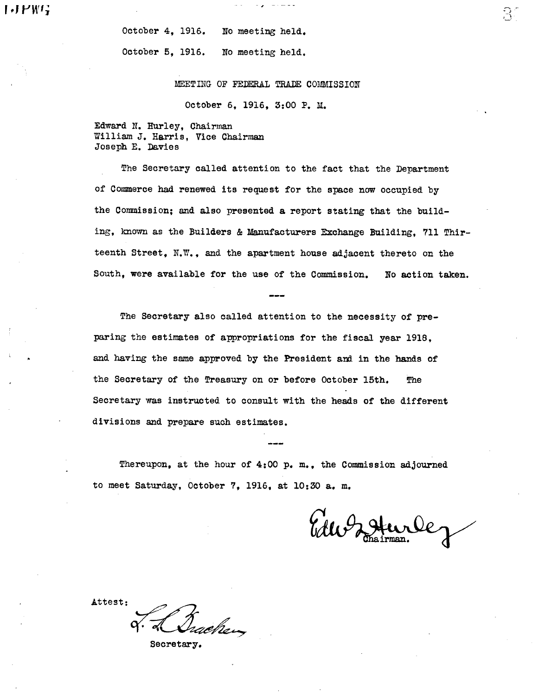October 4, 1916. No meeting held. October 5, 1916. No meeting held.

MEETING OF FEDERAL TRADE COMMISSION

 $\frac{1}{2} \frac{1}{2} \frac{1}{2} \frac{1}{2} \frac{1}{2} \frac{1}{2} \frac{1}{2} \frac{1}{2} \frac{1}{2} \frac{1}{2} \frac{1}{2} \frac{1}{2} \frac{1}{2} \frac{1}{2} \frac{1}{2} \frac{1}{2} \frac{1}{2} \frac{1}{2} \frac{1}{2} \frac{1}{2} \frac{1}{2} \frac{1}{2} \frac{1}{2} \frac{1}{2} \frac{1}{2} \frac{1}{2} \frac{1}{2} \frac{1}{2} \frac{1}{2} \frac{1}{2} \frac{1}{2} \frac{$ 

October 6, 1916, 3:00 P. M.

Edward N. Hurley, Chairman William J. Harris. Vice Chairman Joseph E. Davies

The Secretary called attention to the fact that the Department of Commerce had renewed its request for the space now occupied by the Commission; and also presented a report stating that the building, known as the Builders & Manufacturers Exchange Building. 711 Thirteenth Street, N.W., and the apartment house adjacent thereto on the South, were available for the use of the Commission. No action taken.

The Secretary also called attention to the necessity of preparing the estimates of appropriations for the fiscal year 1918, and having the same approved by the President and in the hands of the Secretary of the Treasury on or before October 15th. The Secretary was instructed to consult with the heads of the different divisions and prepare such estimates.

Thereupon, at the hour of 4:00 p. m., the Commission adjourned to meet Saturday, October 7, 1916, at 10:30 a. m.

Edu Zohurle

::J

Attest:

Grachen

Secretary.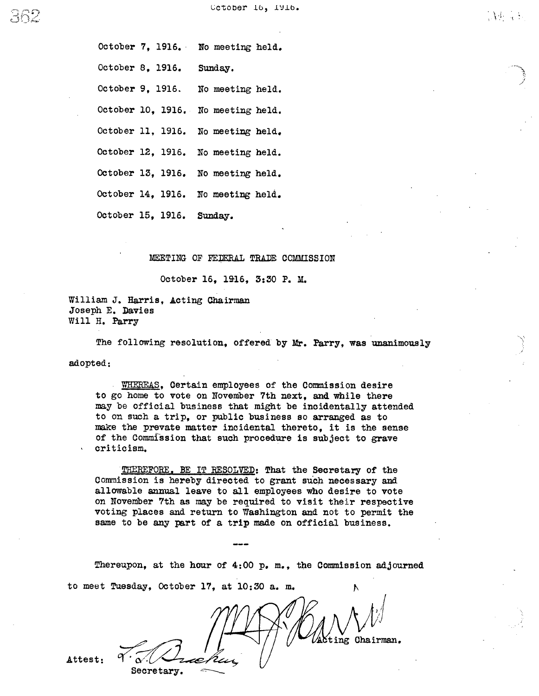$\Delta\phi$  ,  $\phi$ 

October 7, 1916. No meeting held. October 8, 1916. Sunday. October 9, 1916. No meeting held. October 10, 1916. No meeting held. October 11, 1916. No meeting held. October 12, 1916. No meeting held. October 13, 1916. No meeting held. October 14, 1916. No meeting held. October 15, 1916. Sunday.

MEETING OF FEDERAL TRADE COMMISSION

October 16, 1916, 3:30 P. M.

William J. Harris, Acting Chairman Joseph E. Davies Will H. Parry

Secretary.

The following resolution, offered by Mr. Parry, was unanimously

adopted:

WHEREAS, Certain employees of the Commission desire to go home to vote on November 7th next, and while there may be official business that might be incidentally attended to on such a trip, or public business so arranged as to make the prevate matter incidental thereto, it is the sense of the Commission that such procedure is subject to grave criticism.

THREFORE. BE IT RESOLVED: That the Secretary of the Commission is hereby directed to grant such necessary and allowable annual leave to all employees who desire to vote on November 7th as may be required to visit their respective voting places and return to Washington and not to permit the same to be any part of a trip made on official business.

Thereupon, at the hour of 4:00 p. m., the Commission adjourned to meet Tuesday, October 17, at 10:30 a. m.

ting Chairman.

Attest: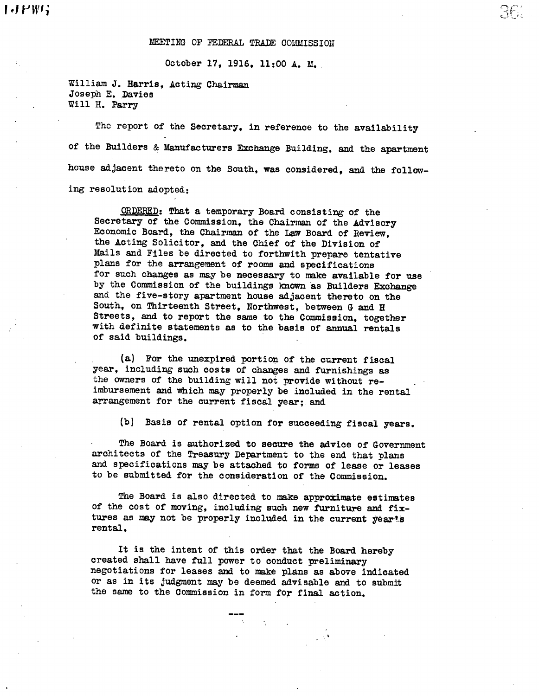r  $PW$ 'i  $36$ 

#### MEETING OF FEDERAL TRADE COMMISSION

October 17, 1916, 11:00 A. M.

William J. Harris, Acting Chairman Joseph E. Davies Will H. Parry

The report of the Secretary, in reference to the availability of the Builders & Manufacturers Exchange Building, and the apartment house adjacent thereto on the South, was considered, and the following resolution adopted:

ORDERED: That a temporary Board consisting of the Secretary of the Commission, the Chairman of the Advisory Economic Board, the Chairman of the Law Board of Review, the Acting Solicitor, and the Chief of the Division of Mails and Files be directed to forthwith prepare tentative plans for the arrangement of rooms and specifications for such changes as may be necessary to make available for use by the Commission of the buildings known as Builders Exchange and the five-story apatment house adjacent thereto on the South, on Thirteenth Street, Northwest, between G and H Streets, and to report the same to the Commission, together with definite statements as to the basis of anual rentals of said buildings.

(a.) For the unexpired portion Of the current fiscal year, including such costs of changes and furnishings as the owners of the building will not provide without reimbursement and which may properly be included in the rental arrangement for the current fiscal year; and

(b) Basis of rental option for succeeding fiscal years.

The Board is authori zed to secure the advice of Government archi tects of the Treasury Department to the end that plans and specifications may be attached to forms of lease or leases to be submitted for the consideration of the Commission.

The Board is also directed to make approximate estimates of the cost of moving, including such new furniture and fixtures as may not be properly included in the current year's rental.

It is the intent of this order that the Board hereby created shall have full power to conduct preliminary negotiations for leases and to make plans as above indicated or as in its judgment may be deemed advisable and to submit the same to the Commission in form for final action.

 $\Delta \sim 10^{11}$  km s  $^{-1}$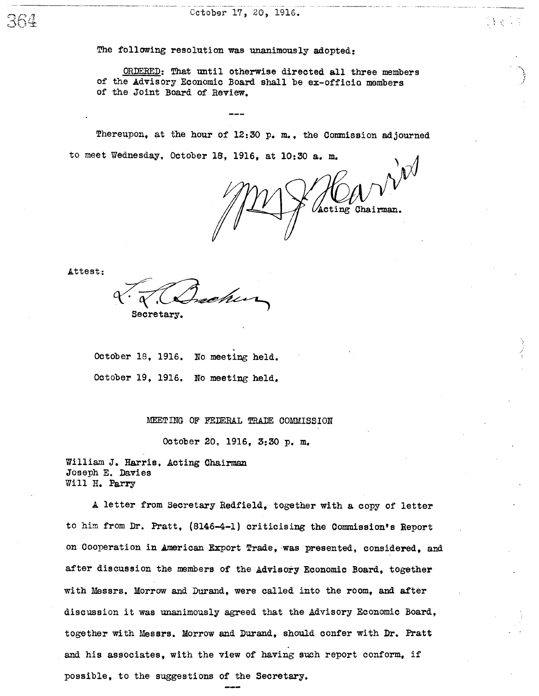The following resolution was unanimously adopted:

ORDERED: That until otherwise directed all three members of the Advisory Economic Board shal be ex-officio members of the Joint Board of Review.

Thereupon, at the hour of  $12:30$  p. m., the Commission adjourned to meet Wednesday, October 16, 1916, at 10:30 a. m.

Acting Chairman.

Attest:

chur Secretary.

October 18, 1916. No meeting held. October 19, 1916. No meeting held.

MEETING OF FEDERAL TRADE COMMISSION

October 20, 1916, 3:30 p. m.

William J. Harris, Acting Chairman Joseph E. Davies Will H. Parry

A letter from Secretary Redfield, together with a copy of letter to him from Dr. Pratt, (8l46-4-l) cri ticising the Commission's Report on Cooperation in American Export Trade, was presented, considered, and after discussion the members of the Advisory Economic Board, together with Messrs. Morrow and Durand, were called into the room, and after discussion it was unanimously agreed that the Advisory Economic Board, together with Messrs. Morrow and Duand, should confer with Dr. Pratt and his associates, with the view of having such report conform, if possible, to the suggestions of the Secretary.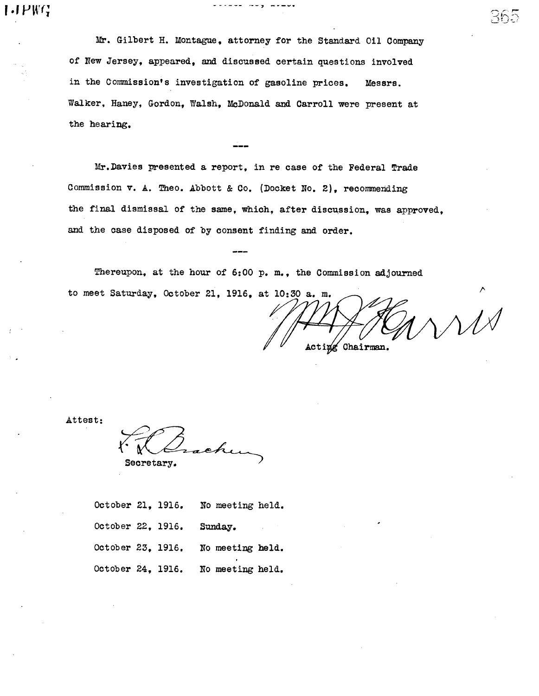$J \, P \, W \, G$ 

Mr. Gilbert H. Montague, attorney for the Standard Oil Company of New Jersey, appeared, and discussed certain questions involved in the Commission's investigation of gasoline prices. Messrs. Walker, Haney, Gordon, Walsh, McDonald and Carroll were present at the hearing.

Mr. Davies presented a report, in re case of the Federal Trade Commission v. A. Theo. Abbott & Co. (Docket No. 2), recommending the final dismissal of the same, which, after discussion, was approved. and the case disposed of by consent finding and order.

Thereupon, at the hour of 6:00 p. m., the Commission adjourned to meet Saturday, October 21, 1916, at 10:30 a. m.

Acting Chairman.

 $\operatorname{Hoh}$ 

Attest:

secretary.

October 21, 19l6. No meeting held. October 22, 1916. Sunday. October 23, 19l6. No meeting held. October 24. 1916. No meeting held.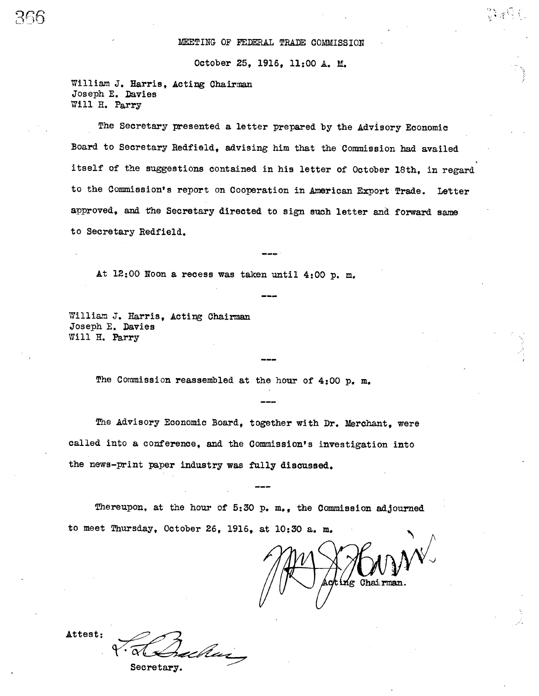### MEETING OF FEDERAL TRADE COMMISSION

October 25, 19l6, 11:00 A. M.

William J. Harris, Acting Chairman Joseph E. Davies Will H. Parry

The Secretary presented a letter prepaed by the Advisory Economic Board to Secretary Redfield, advising him that the Commission had availed itself of the suggestions contained in his letter of October 18th, in regard to the Commission's report on Cooperation in American Export Trade. Letter approved, and the Secretary directed to sign such letter and forward same to Secretary Redfield.

At 12:00 Noon a recess was taken until 4:00 p. m.

William J. Harris, Acting Chairman Joseph E. Davies Will H. Parry

The Commission reassembled at the hour of  $4:00$  p. m.

The Advisory Economic Board, together with Dr. Merchant. were called into a conference, and the Commission's investigation into the news-print paper industry was fully discussed.

Thereupon, at the hour of  $5:30$  p. m., the Commission adjourned to meet Thursday, October 26, 1916, at 10:30 a. m.

ng Chai

Attest: achui

Secretary.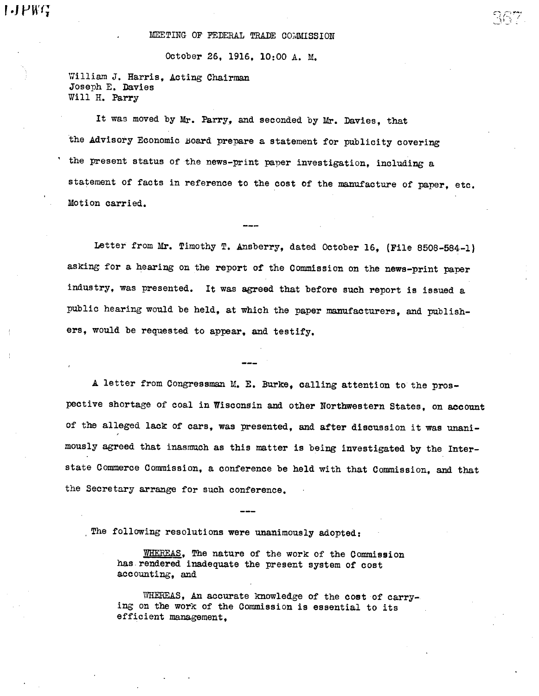## MEETING OF FEDERAL TRADE COMMISSION

## October 26, 19l6, 10:00 A. M.

William J. Harris, Acting Chairman Joseph E. Davies Will H. Parry

It was moved by Mr. Parry, and seconded by Mr. Davies. that the Advisory Economic Board prepare a statement for publicity covering the present status of the news-print paper investigation, including a statement of facts in reference to the cost of the manufacture of paper, etc. Motion carried.

Letter from Mr. Timothy T. Ansberry, dated October 16, (File 8508-584-1) asking for a hearing on the report of the Commission on the news-print paper industry, was presented. It was agreed that before such report is issued a public hearing would be held, at which the paper manufacturers, and publishers, would be requested to appear, and testify.

A letter from Congressma M. E. Burke, calling attention to the prospective shortage of coal in Wisconsin and other Northwestern States, on account of the alleged lack of cars, was presented, and after discussion it was unanimously agreed that inasmuch as this matter is being investigated by the Interstate Commerce Commission, a conference be held with that Commission, and that the Secretary arrange for such conference.

. The following resolutions were unanimously adopted:

WHEREAS, The nature of the work of the Commission has rendered inadequate the present system of cost accounting, and

WHEREAS, An accurate knowledge of the cost of carrying on the work of the Commission is essential to its efficient management,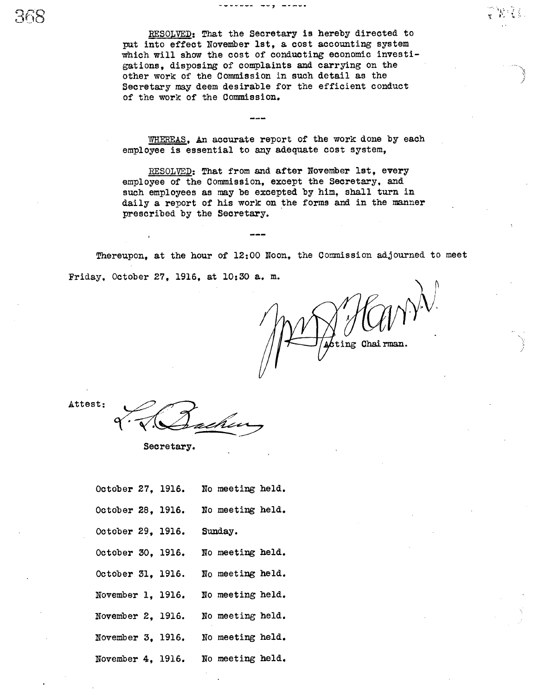WHEREAS, An accurate report of the work done by each employee is essential to any adequate cost system,

RESOLVED: That from and after November 1st, every employee of the Commission, except the Secretary, and such employees as may be excepted by him, shall turn in daily a report of his work on the forms and in the manner prescribed by the Secretary.

Thereupon, at the hour of 12:00 Noon, the Commission adjourned to meet Friday, October 27, 19l6, at 10: 30 a. m.

ing Chairman

Attest:

Secretary.

| October 27, 1916.         | No meeting held.                   |
|---------------------------|------------------------------------|
|                           | October 28, 1916. No meeting held. |
| October 29, 1916. Sunday. |                                    |
| October 30, 1916.         | No meeting held.                   |
| October 31, 1916.         | No meeting held.                   |
| November 1, 1916.         | No meeting held.                   |
| November 2, 1916.         | No meeting held.                   |
| November 3, 1916.         | No meeting held.                   |
|                           | November 4, 1916. No meeting held. |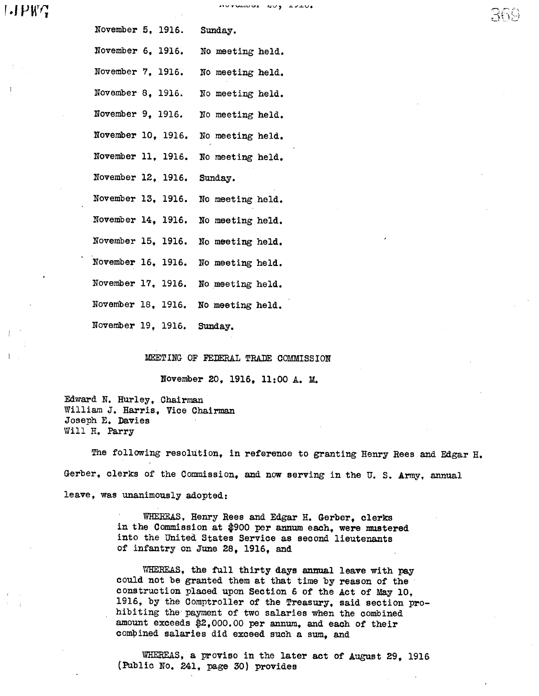# $I$ .  $P$ W $C$

| November 5, 1916. Sunday.  |  |                                     |
|----------------------------|--|-------------------------------------|
| November 6, 1916.          |  | No meeting held.                    |
| November 7, 1916.          |  | No meeting held.                    |
| November 8, 1916.          |  | No meeting held.                    |
| November 9, 1916.          |  | No meeting held.                    |
| November 10, 1916.         |  | No meeting held.                    |
| November 11, 1916.         |  | No meeting held.                    |
| November 12, 1916. Sunday. |  |                                     |
| November 13, 1916.         |  | No meeting held.                    |
| November 14, 1916.         |  | No meeting held.                    |
| November 15, 1916.         |  | No meeting held.                    |
| November 16, 1916.         |  | No meeting held.                    |
|                            |  | November 17, 1916. No meeting held. |
|                            |  | November 18, 1916. No meeting held. |
| November 19, 1916. Sunday. |  |                                     |

MEETING OF FEDERAL TRADE COMMISSION

November 20, 1916, 11:00 A. M.

Edward N. Hurley, Chairma William J. Harris. Vice Chairman Joseph E. Davies Will H. Parry

The following resolution, in reference to granting Henry Rees and Edgar H. Gerber, clerks of the Commission, and now serving in the U.S. Army, annual leave, was unanimously adopted:

> WHEREAS, Henry Rees and Edgar H. Gerber, clerks in the Commission at \$900 per annum each, were mustered into the United States Service as second lieutenants of infantry on June 28, 1916, and

WHEREAS, the full thirty days annual leave with pay could not be granted them at that time by reason of the' construction placed upon Section 6 of the Act of May 10, 1916, by the Comptroller of the Treasury, said section prohibiting the payment of two salaries when the combined amount exceeds \$2,000.00 per annum, and each of their compined salaries did exceed such a sum, and

WHEREAS, a proviso in the later act of August 29, 1916 (Public No. 241, page 30) provides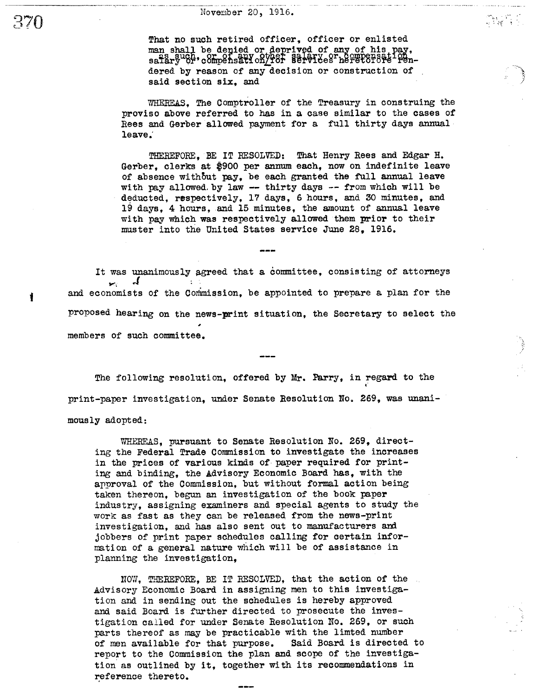. - -\_..\_-- ----"----- - " ... - -- - .\_ . - - ---

That no such retired officer. officer or enlisted man shall be denied or deprived of any of his p<br>as such, or of any other salary or compensati 1s such, or of any other salary or compens dered by reason of any decision or construction of said section six, and

WHEREAS, The Comptroller of the Treasury in construing the proviso above referred to has in a case similar to the cases of Rees and Gerber allowed payment for a full thirty days anual leave;

THEREFORE. BE IT RESOLVED: That Henry Rees and Edgar H. Gerber. clerks at \$900 per annum each, now on indefinite leave of absence without pay, be each granted the full annual leave with pay allowed by law -- thirty days -- from which will be deducted. respectively. 17 days, 6 hours, and 30 minutes, and 19 days, 4 hours, and 15 minutes, the amount of annual leave with pay which was respectively allowed them prior to their muster into the United States service June 28. 1916.

It was unanimously agreed that a committee, consisting of attorneys  $\mathcal{L}$  $\blacktriangleright$ and economists of the Commission, be appointed to prepare a plan for the proposed hearing on the news-print situation, the Secretary to select the members of such committee.

The following resolution, offered by Mr. Parry, in regard to the print-paper investigation, under Senate Resolution No. 269, was unanimously adopted:

WHEREAS, pursuant to Senate Resolution No. 269, directing the Federal Trade Commission to investigate the increases in the prices of various kinds of paper required for printing and binding, the Advisory Economic Board has, with the approval of the Commission, but without formal action being taken thereon, begun an investigation of the book paper industry, assigning examiners and special agents to study the work as fast as they can be released from the news-print investigation, and has also sent out to manufacturers and jobbers of print paper schedules calling for certain information of a general nature which will be of assistance in planning the investigation,

NOW, THREFORE, BE IT RESOLVED, that the action of the Advisory Economic Board in assigning men to this investiga-<br>tion and in sending out the schedules is hereby approved and said Board is further directed to prosecute the investigation called for under Senate Resolution NO. 269, or such parts thereof as may be practicable with the limted number of men available for that purpose. Said Board is directed to report to the Commission the plan and scope of the investigation as outlined by it, together wi th its recommendations in eference thereto.

<u>ว</u>?

 $\mathbf{I}$ 

I'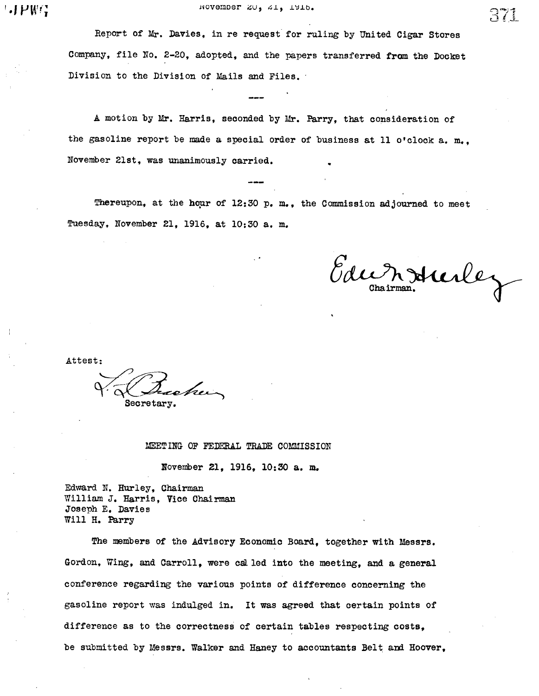Report of Mr. Davies, in re request for ruling by United Cigar Stores Company, file No. 2-20, adopted, and the papers transferred from the Docket Division to the Division of Mails and Files.

A motion by Mr. Harris, seconded by Mr. Pary, that consideration of the gasoline report be made a special order of business at 11 o'clock a. m., November 21st, was unanimously carried.

Thereupon, at the hour of 12:30 p. m., the Commission adjourned to meet Tuesday, November 21, 19l6, at lO:30 a. m.

Edumenture

Attest:

Secretary.

MEETING OF FEDERAL TRADE COMMISSION

November 2l, 19l6, 10:30 a. m.

Edward N. Hurley, Chairma William J. Harris, Vice Chairman Joseph E. Davies Will H. Parry

The members of the Advisory Economic Board, together with Messrs. Gordon, Wing, and Carroll, were called into the meeting, and a general conferenoe regarding the various points of difference concerning the gasoline report was indulged in. It was agreed that certain points of difference as to the correctness of certain tables respecting costs, be submitted by Messrs. Walker and Haney to accountants Belt and Hoover,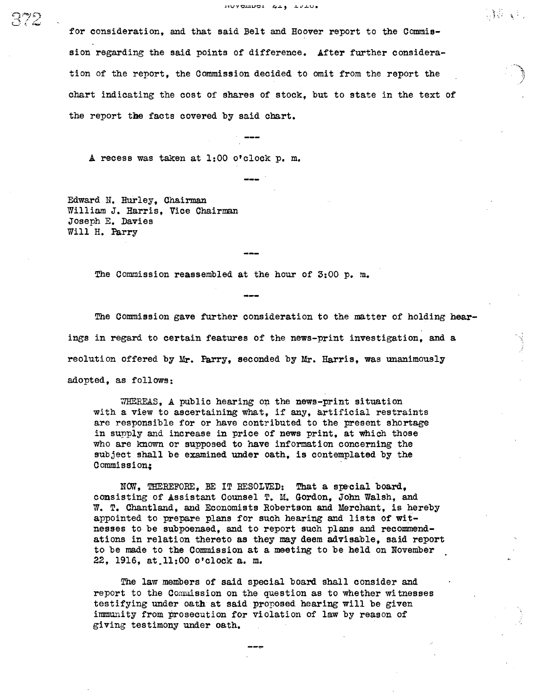for consideration, and that said Belt and Hoover report to the Commission regarding the said points of difference. After further consideration of the report, the Commission decided to omit from the report the chart indicating the cost of shares of stock, but to state in the text of the report the facts covered by said chart.

A recess was taken at 1:00 o'clock p. m.

Edward U. Hurley, Qhairm William J. Harris, Vice Chairman Joseph E. Davies Will H. Parry

The Commission reassembled at the hour of 3:00 p. m.

The Commission gave further consideration to the matter of holding hearings in regard to certain features of the news-print investigation. and a reolution offered by Mr. Farry, seconded by Mr. Harris, was unanimously adopted, as follows:

 $WHEREAS$ , A public hearing on the news-print situation with a view to ascertaining what, if any, artificial restraints are responsible for or have contributed to the present shortage in supply and increase in price of news print, at which those who are known or supposed to have information concerning the subject shall be examined under oath, is contemplated by the Commission;

NOW, THEREFORE, BE IT RESOLVED: That a special board, consisting of Assistant Counsel T. M. Gordon, John Walsh, and W. T. Chantland, and Economists Robertson and Merchant, is hereby appointed to prepare plans for such hearing and lists of witnesses to be subpoenaed, and to report such plans and recommendations in relation thereto as they may deem advisable, said report to be made to the Commission at a meeting to be held on November , 1916, at ll:OO o' clock a. m.

The law members of said special board shall consider and report to the Commission on the question as to whether witnesses testifying under oath at said proposed hearing will be given immunity from prosecution for violation of law by reason of giving testimony under oath.

C": ت<br>ب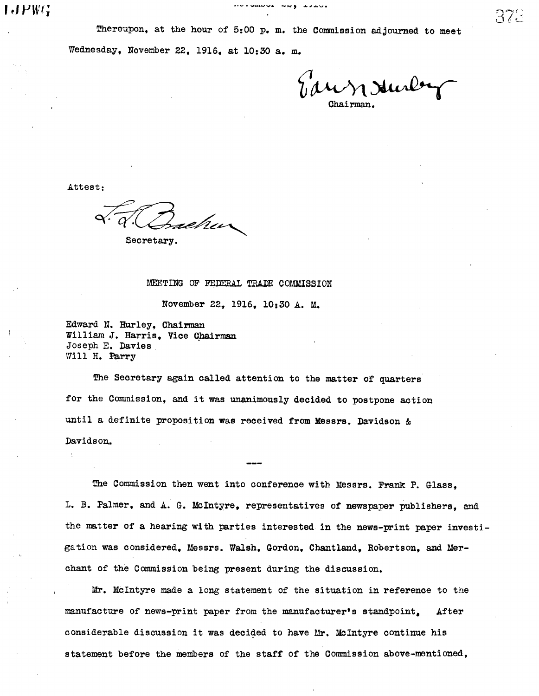Tawn Juney Chairman.

Attest:

Dacher

Secretary.

MEETING OF FEDERAL TRADE COMMISSION

November 22, 1916, 10:30 A. M.

Edward N. Hurley, Chairman William J. Harris, Vice Chairman Joseph E. Davies Will H. Parry

The Secretary again called attention to the matter of quarters for the Commission, and it was unanimously decided to postpone action until a definite proposition was received from Messrs. Davidson & Davidson.

The Commission then went into conference with Messrs. Frank P. Glass, L. B. Palmer, and A. G. MCIntyre, representatives of newspaper publishers, and the matter of a hearing wi th parties interested in the news-print paper investigation was considered, Messrs. Walsh, Gordon, Chantland, Robertson, and Merchant of the Commission being present during the discussion.

Mr. McIntyre made a long statement of the situation in reference to the manufacture of news-print paper from the manufacturer's standpoint. After considerable discussion it was decided to have Mr. McIntyre continue his statement before the members of the staff of the Commission above-mentioned,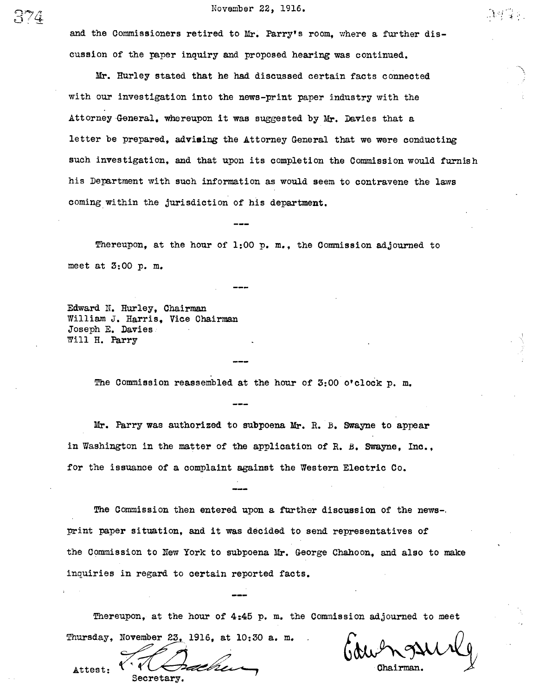# $C\left(1\right)$  November 22, 1916.

and the Commissioners retired to Mr. Parry's room, where a further discussion of the paper inquiry and proposed hearing was continued.

Mr. Hurley stated that he had discussed certain facts connected with our investigation into the news-print paper industry with the Attorney-Gneral. whereupon it was suggested by Mr. Davies that a letter be prepared, advising the Attorney General that we were conducting such investigation, and that upon its completion the Commission would furnish his Department with such information as would seem to contravene the laws coming wi thin the jurisdiction of his department.

Thereupon, at the hour of 1:00 p. m., the Commission adjoured to meet at 3:00 p. m.

Edward N. Hurley, Chairma William J. Harris. Vice Chairman Joseph E. Davies Will H. Pary

The Commission reassembled at the hour of 3:00 o'clock p. m.

Mr. Parry was authorized to subpoena Mr. R. B. Swayne to appear in Washington in the matter of the application of R. B. Swayne, Inc., for the issuance of a complaint against the Western Electric Co.

The Commission then entered upon a further discussion of the news-. print paper situation, and it was decided to send representatives of the Commission to New York to subpoena Mr. George Chahoon, and also to make inquiries in regard to certain reported facts.

Thereupon, at the hour of 4:45 p. m. the Commission adjourned to meet Thursday, November 23, 1916, at 10:30 a. m.

Secretary.

Attest:

Chairman.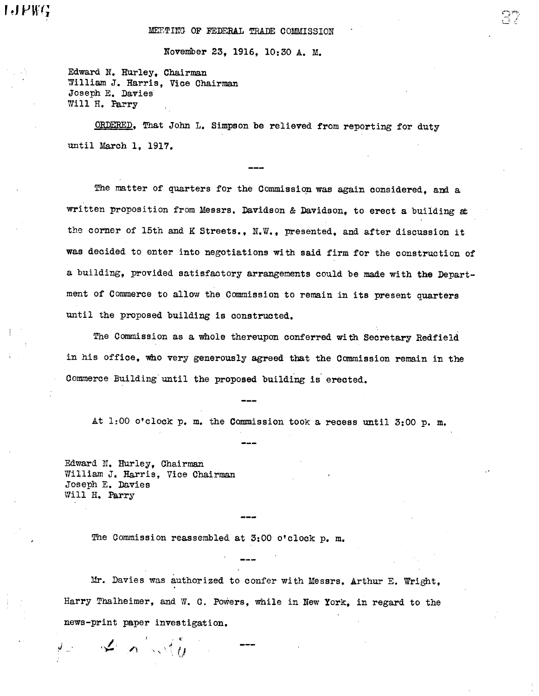November 23, 19l6, 10: 30 A. M.

Edward N. Hurley, Chairman William J. Harris. Vice Chairman Joseph E. Davies Will H. Parry

ORDERED, That John L. Simpson be relieved from reporting for duty until March 1. 1917.

The matter of quarters for the Commission was again considered, and a written proposition from Messrs. Davidson & Davidson, to erect a building at the corner of 15th and K Streets., N.W., presented, and after discussion it was decided to enter into negotiations wi th said firm for the construction of a building, provided satisfactory arrangements could be made with the Department of Commerce to allow the Comission to remain in its present quarters until the proposed building is construted.

The Commission as a whole thereupon conferred with Secretary Redfield in his office, who very generously agreed that the Commission remain in the Commerce Building until the proposed building is erected.

At 1:00 o' clock p. m. the Commission tOOk a recess until 3:00 p. m.

Edward N. Hurley, Chairma William J. Harris, Vice Chairman Joseph E. Davies Will H. Parry

, t'

ri 1')

The Commission reassembled at 3:00 o'clock p. m.

Mr. Davies was authorized to confer with Messrs. Arthur E. Wright. Harry Thalheimer, and W. C. Powers, while in New York, in regard to the news-print paper investigation.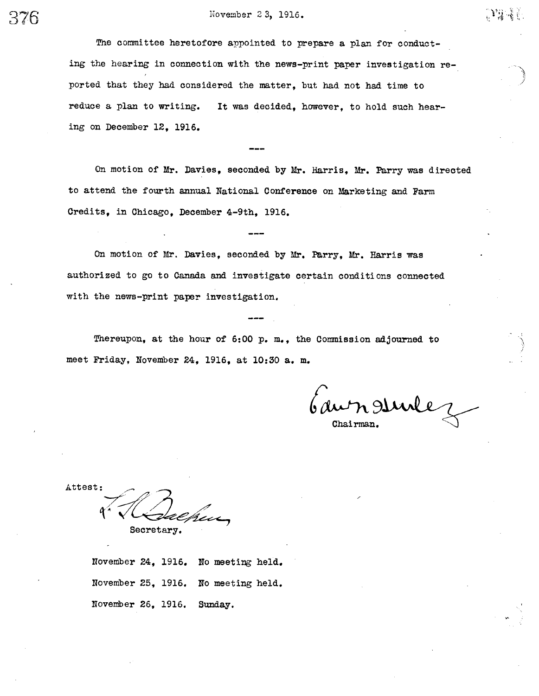# 376 November 2 3, 1916.

The committee heretofore appointed to prepare a plan for conducting the hearing in connection with the news-print paper investigation reported that they had considered the matter , but had not had time to reduce a plan to writing. It was decided, however, to hold such hearing on December 12. 1916.

On motion of Mr. Davies, seconded by Mr. Harris. Mr. Farry was directed to attend the fourth annual National Conference on Marketing and Farm Credits, in Chicago. December 4-9th. 1916.

On motion of Mr. Davies, seconded by Mr. Parry, Mr. Harris was authorized to go to Canada and investigate certain conditions connected with the news-print paper investigation.

Thereupon, at the hour of  $6:00$  p. m., the Commission adjourned to meet Friday, November 24, 1916, at 10:30 a. m.

au n sunlez

○遠望寺

Chairman.

Attest: ren Secretary.

November 24, 1916. No meeting held. November 25, 1916. No meeting held. November 26, 1916. Sunday.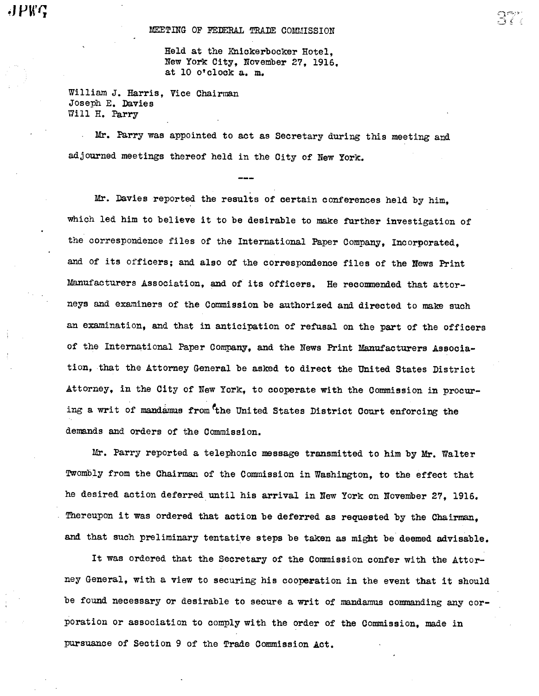Held at the Knickerbocker Hotel, New York City, November 27, 19l6, at 10 o' clock a. m.

William J. Harris, Vice Chairman Joseph E. Davies Will H. Parry

Mr. Parry was appointed to act as Secretary during this meeting and adjourned meetings thereof held in the City of New York.

Mr. Davies reported the results of certain conferences held by him. which led him to believe it to be desirable to make further investigation of the correspondence files of the International Paper Company, Incorporated. and of its officers; and also of the correspondence files of the News Print Manufacturers Association, and of its officers. He recommended that attorneys and examiners of the Commission be authorized and directed to make such an examination, and that in anticipation of refusal on the part of the officers of the International Paper Company, and the News Print Manufacturers Association that the Attorney General be asked to direct the United States District Attorney, in the City of New York, to cooperate with the Commission in procuring a writ of mandamus from the United States District Court enforcing the demands and orders of the Commission.

Mr. Parry reported a telephonic message transmitted to him by Mr. Walter Twombly from the Chairman of the Commission in Washington, to the effect that he desired action deferred until his arrival in New York on November 27, 1916. Thereupon it was ordered that action be deferred as requested by the Chairman, and that such preliminary tentative steps be taken as might be deemed advisable.

It was ordered that the Secretary of the Commission confer with the Attorney General, with a view to securing his cooperation in the event that it should be found necessary or desirable to secure a writ of mandamus commanding any corporation or association to comply with the order of the Commission, made in pusuace of Section 9 of the Trade Commission Act.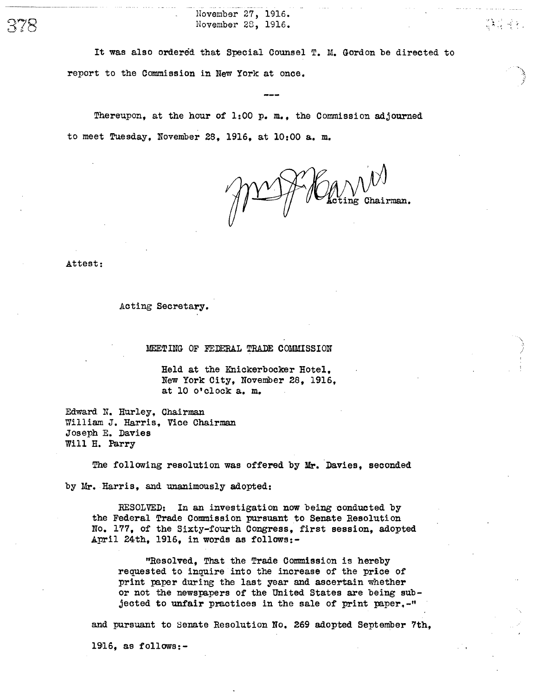November 27, 1916. November 28, 1916.

It was also ordered that Special Counsel T. M. Gordon be directed to report to the Commission in New York at once.

Thereupon, at the hour of 1:00 p. m., the Commission adjourned to meet Tuesday, November 28, 1916, at 10:00 a. m.

 $\sqrt{\mathcal{M}}$   $\mathcal{M}^{\mathcal{N}}$  Oheting Chairman.

플루 국 P.

Attest:

378

Acting Secretary.

MEETING OF FEDERAL TRADE COMMISSION

Held at the Knickerbocker Hotel, New York City, November 28, 1916, at 10 0' clock a. m.

Edward N. Hurley, Chairma William J. Harris, Vice Chairman Joseph E. Davies Will H. Parry

The following resolution was offered by Mr. Davies, seconded

by Mr. Harris, and unanimously adopted:

RESOLVED: In an investigation now being conducted by the Federal Trade Commission pusuant to Senate Resolution No. 177 , of the Sixty-fourth Congress, first session, adopted April 24th, 1916, in words as follows:-

"Resolved, That the Trade Commission is hereby requested to inquire into the increase of the price of print paper during the last year and ascertain whether or not the newspapers of the Uni ted States are being subjected to unfair practices in the sale of print paper. $-$ "

and pursuant to Senate Resolution No. 269 adopted September 7th,

19l6, as follows:-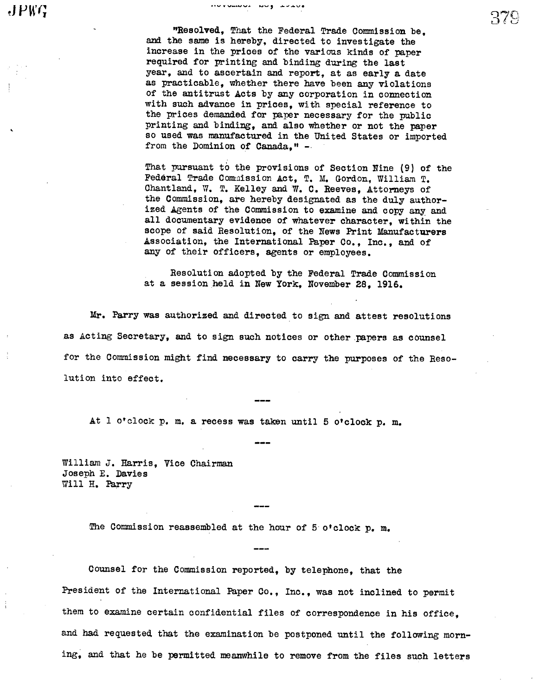eunus aug Luca

"Resolved. That the Federal Trade Commission be, and the same is hereby, directed to investigate the increase in the prices of the various kinds of paper required for printing and binding during the last year, and to ascertain and report, at as early a date as practicable, whether there have been any violations of the antitrust Acts by any corporation in connection with such advance in prices, with special reference to the prices demanded for paper necessary for the public printing and binding, and also whether or not the paper so used was manufactured in the Uni ted States or imported from the Dominion of Canada."  $-$ 

That pursuant to the provisions of Section Nine (9) of the Federal Trade Commission Act, T. M. Gordon, William T. Chantland, W. T. Kelley and W. C. Reeves. Attorneys of the Commission, are hereby designated as the duly authorized Agents of the Commission to examine and copy any and all documentary evidence of whatever character, wi thin the scope of said Resolution, of the News Print Manufacturers Association, the International Paper Co., Inc., and of any of their officers, agents or employees.

Resolution adopted by the Federal Trade Commission at a session held in New York, November 28, 19l6.

Mr. Parry was authorized and directed to sign and attest resolutions as Acting Secretary, and to sign such notices or other ,papers as counsel for the Commission might find necessary to carry the purposes of the Resolution into effect.

At l o'clock p. m. a recess was taken until 5 o'clock p. m.

William J. Harris, Vice Chairman Joseph E. Davies Will H. Parry

The Commission reassembled at the hour of 5 o'clock p. m.

Counsel for the Commission reported, by telephone, that the President of the International Paper Co., Inc., was not inclined to permit them to examine certain confidential files of correspondence in his office, and had requested that the examination be postponed until the following morning, and that he be permitted meanwhile to remove from the files such letters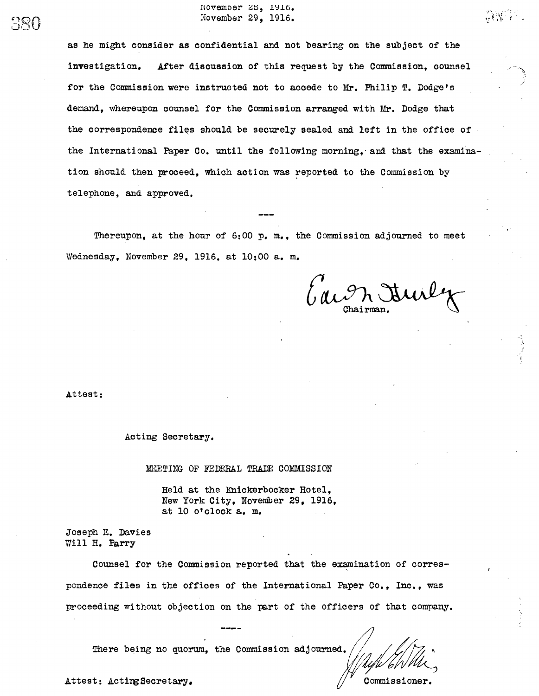Hovember 25, 1916. November 29, 1916.

as he might consider as confidential and not bearing on the subject of the investigation. After discussion of this request by the Commission, counsel for the Commission were instructed not to accede to Mr. Philip T. Dodge's demand, whereupon counsel for the Commission arranged with Mr. Dodge that the correspondence files should be securely sealed and left in the office of the International Paper Co. until the following morning, and that the examination should then proceed, which action was reported to the Commission by telephone, and approved.

Thereupon, at the hour of  $6:00$  p. m., the Commission adjourned to meet Wednesday, November 29, 1916, at 10:00 a. m.

Caron Juily

 $r_{\rm 1.11}$ Y' i

Attest:

 $S^{\mathbb{Q}}$ 

Acting Secretary.

MEETING OF FEDERAL TRADE COMMISSION

Held at the Knickerbocker Hotel, New York City, November 29, 1916, at 10 o' clock a. m.

Joseph E. Davies Will H. Parry

Counsel for the Commission reported that the examination of correspondence files in the offices of the International Paper Co., Inc., was proceeding wi thout objection on the part of the officers of that company.

There being no quorum. the Commission adjourned.

Attest: ActingSecretary. The commissioner.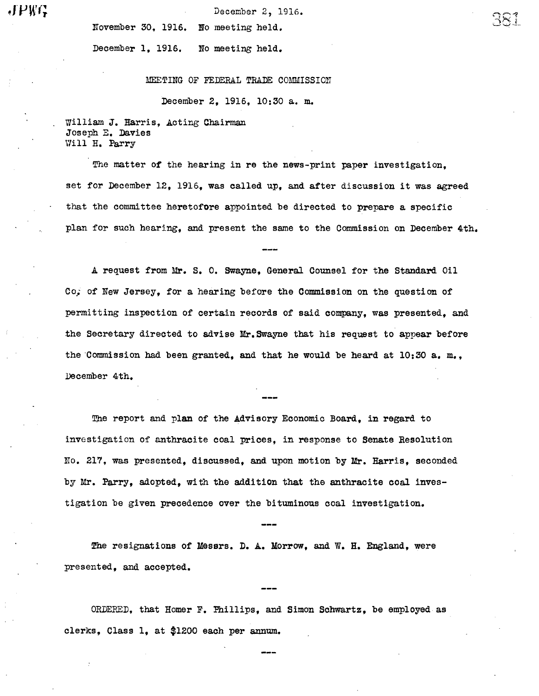JPWG

December 2, 1916.

 $\infty$ 

November 30, 19l6. No meeting held.

December 1, 19l5. No meeting held.

MEETING OF FEDERAL TRADE COMMISSION

December 2, 1916, 10:30 a. m.

William J. Harris, Acting Chairman Joseph E. Davies Will H. Parry

The matter of the hearing in re the news-print paper investigation. set for December 12, 1915, was called up, and after discussion it was agreed that the committee heretofore appointed be directed to prepare a specific plan for such hearing, and present the same to the Commission on December 4th.

A request from Mr. S. O. Swayne, General Counsel for the Standard Oil of New Jersey, for a hearing before the Commission on the question of permitting inspection of certain records of said company, was presented, and the Secretary directed to advise Mr. Swayne that his request to appear before the Commission had been granted, and that he would be heard at  $10:30$  a.m., December 4th.

The report and plan of the Advisory Economic Board, in regard to investigation of anthracite coal prices, in response to Senate Resolution No. 2l7, was presented, discussed, and upon motion by Mr. Harris, seconded by Mr. Parry, adopted, with the addition that the anthracite coal investigation be given precedence over the bituminous coal investigation.

The resignations of Messrs. D. A. Morrow, and W. H. England, were presented, and accepted.

ORDERED, that Homer F. Phillips, and Simon Schwartz, be employed as clerks, Class 1, at \$1200 each per anum.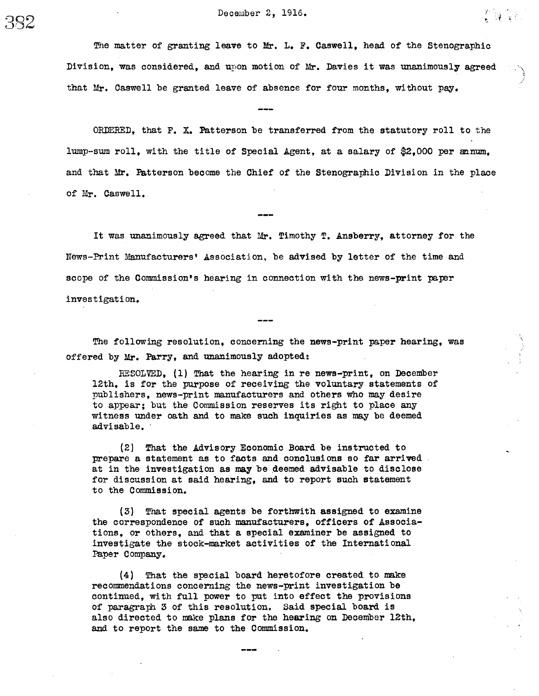女優です。

The matter of granting leave to Mr. L. F. Caswell, head of the Stenographic Division, was considered, and upon motion of Mr. Davies it was unanimously agreed

that Mr. Caswell be granted leave of absence for four months, without pay.

ORDERD, that F. X. Patterson be transferred from the statutory roll to the lump-sum roll, with the title of Special Agent, at a salary of \$2,000 per annum. and that Mr. Patterson become the Chief of the Stenographic Division in the place of Mr. Caswell.

It was unanimously agreed that Mr. Timothy T. Ansberry, attorney for the News-Print Maufacturers' Association, be advised by letter of the time and scope of the Commission's hearing in connection with the news-print paper inves tigati on.

The following resolution, concerning the news-print paper hearing, was offered by Mr. Parry, and unanimously adopted:

RESOLVED. (1) That the hearing in re news-print, on December 12th, is for the pupose of receiving the voluntary statements of publishers, news-print manufacturers and others who may desire to appear; but the Commission reserves its right to place any witness under oath and to make such inquiries as may be deemed advisable. '

, (2) Tht the Advisory Economic Board be instructed to prepare a statement as to facts and conclusions so far arrived at in the investigation as may be deemed advisable to disclose for discussion at said hearing, and to report such statement to the Commission.

 $(3)$  That special agents be forthwith assigned to examine the correspondence of such maufacturers, officers of Associations, or others, and that a special examiner be assigned to investigate the stock-market activities of the International Paper Company.

 $(4)$  That the special board heretofore created to make recommendations concerning the news-print investigation be continued, with full power to put into effect the provisions of paragraph 3 of this resolution. Said special board is also directed to make plans for the hearing on December 12th, and to report the same to the Commission.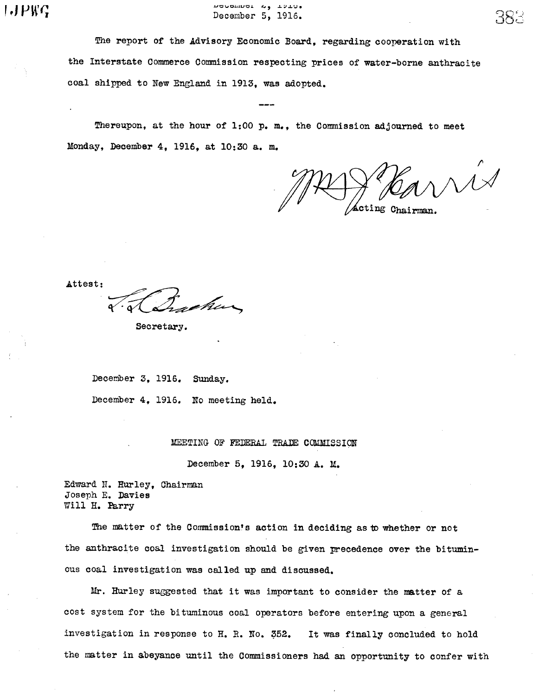$\rho$ ,  $\rho$   $\mu$   $\alpha$  . The problem  $\alpha$ ,  $\beta$  .  $\beta$  . The problem  $\beta$ ,  $\beta$  .  $\beta$  . The problem  $\beta$ ,  $\beta$  . The problem  $\beta$ ,  $\beta$  . The problem  $\beta$ ,  $\beta$  . The problem  $\beta$  ,  $\beta$  . The problem  $\beta$  ,  $\beta$  . The pro

The report of the Advisory Economic Board, regarding cooperation with the Interstate Commerce Commission respecting prices of water-borne anthracite coal shipped to New England in 19l3, was adopted.

Thereupon, at the hour of  $1:00$  p. m., the Commission adjourned to meet Monday, December 4, 19l6, at 10:30 a. m.

 $\sqrt{11}$ Acting Chairman

Attest:

Secretary.

December 3, 1916. Sunday. December 4, 19l6. No meeting held.

MEETING OF FEDERAL TRADE COMMISSION

December 5, 19l6, 10:30 A. M.

Edward N. Hurley, Chairman Joseph E. Davies Will H. Parry

The matter of the Commission's action in deciding as to whether or not the anthracite coal investigation should be given precedence over the bituminous coal investigation was called up and discussed.

Mr. Hurley suggested that it was important to consider the matter of a cost system for the bi tuminous coal operators before entering upon a general investigation in response to H. R. No. 352. It was finally concluded to hold the matter in abeyance until the Commissioners had an opportunity to confer with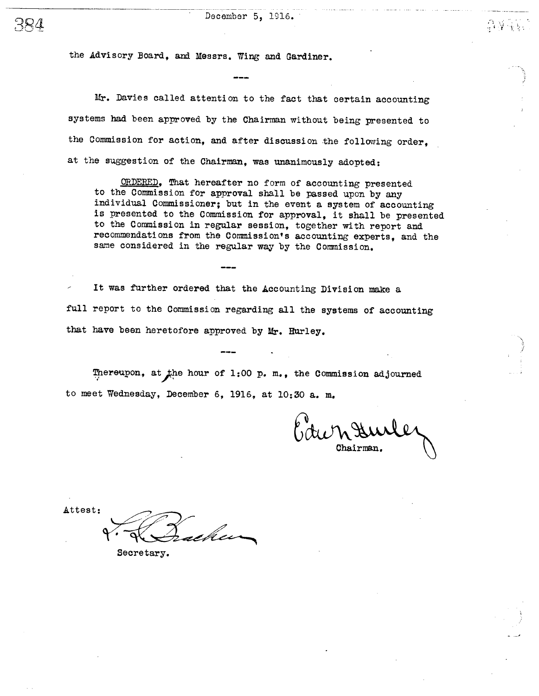the Advisory Board, and Messrs. Wing and Gardiner.

Mr. Davies called attention to the fact that certain accounting systems had been approved by the Chairman without being presented to the Commission for action, and after discussion the following order, at the suggestion of the Chairman, was unanimously adopted:

ORDERED, That hereafter no form of accounting presented to the Commission for approval shall be passed upon by any individual Commissioner; but in the event a system of accounting is presented to the Commission for approval, it shall be presented to the Commission in regular session, together with report and recommendations from the Commission's accounting experts, and the same considered in the regular way by the Commission.

It was further ordered that the Accounting Division make a full report to the Commission regarding all the systems of accounting that have been heretofore approved by Mr. Hurley.

Thereupon, at the hour of 1:00 p. m., the Commission adjourned to meet Wednesday, December 6, 1916, at 10:30 a. m.

 $\Omega$  .  $\mathcal{V} \ll$ 

Attest: heim

Secretary.

 $BQ$